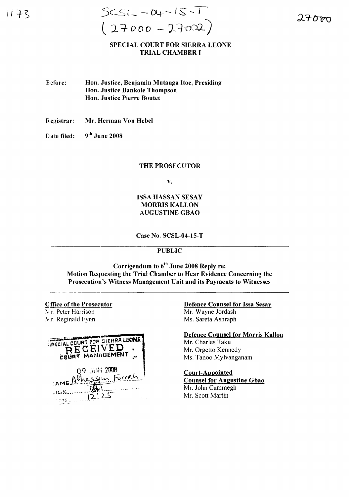#### SPECIAL COURT FOR SIERRA LEONE TRIAL CHAMBER I

- Before: Hon. Justice, Benjamin Mutanga Itoe. Presiding Hon. Justice Bankole Thompson Hon. Justice Pierre Boutet
- Registrar: Mr. Herman Von Hebel
- Date filed:  $9<sup>th</sup>$  June 2008

#### THE PROSECUTOR

v.

### ISSA HASSAN SESAY MORRIS KALLON AUGUSTINE GBAO

Case No. SCSL-04-15-T

## PUBLIC

Corrigendum to 6<sup>th</sup> June 2008 Reply re: Motion Requesting the Trial Chamber to Hear Evidence Concerning the Prosecution's Witness Management Unit and its Payments to Witnesses

**Office of the Prosecutor** Mr. Peter Harrison Mr. Reginald Fynn



Defence Counsel for Issa Sesay Mr. Wayne Jordash Ms. Sareta Ashraph

Defence Counsel for Morris Kallon Mr. Charles Taku Mr. Orgetto Kennedy

Ms. Tanoo Mylvanganam

# Court-Appointed

Counsel for Augustine Gbao Mr. John Cammegh Mr. Scott Martin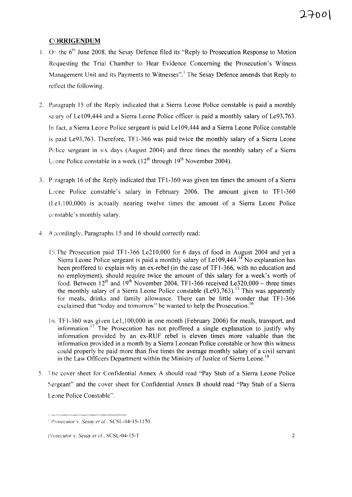### **CORRIGENDUM**

- 1. On the  $6<sup>th</sup>$  June 2008, the Sesay Defence filed its "Reply to Prosecution Response to Motion Requesting the Trial Chamber to Hear Evidence Concerning the Prosecution's Witness Management Unit and its Payments to Witnesses".<sup>1</sup> The Sesay Defence amends that Reply to reflect the following.
- 2. Paragraph 15 of the Reply indicated that a Sierra Leone Police constable is paid a monthly salary of Le 109,444 and a Sierra Leone Police officer is paid a monthly salary of Le93,763. In fact, a Sierra Leone Police sergeant is paid Le $109,444$  and a Sierra Leone Police constable is paid Le93,763. Therefore, TF 1-366 was paid twice the monthly salary of a Sierra Leone Police sergeant in six days (August 2004) and three times the monthly salary of a Sierra L: one Police constable in a week  $(12^{th}$  through  $19^{th}$  November 2004).
- 3. Paragraph 16 of the Reply indicated that TF1-360 was given ten times the amount of a Sierra Leone Police constable's salary in February 2006. The amount given to TF1-360  $(1e1,100,000)$  is actually nearing twelve times the amount of a Sierra Leone Police constable's monthly salary.
- 4. A::cordingly, Paragraphs 15 and 16 should correctly read:
	- 15. The Prosecution paid TF1-366 Le210,000 for 6 days of food in August 2004 and yet a Sierra Leone Police sergeant is paid a monthly salary of Le  $109,444$ .<sup>14</sup> No explanation has been proffered to explain why an ex-rebel (in the case of TF1-366, with no education and no employment), should require twice the amount of this salary for a week's worth of food. Between  $12<sup>th</sup>$  and  $19<sup>th</sup>$  November 2004, TF1-366 received Le320,000 – three times the monthly salary of a Sierra Leone Police constable (Le93,763).<sup>15</sup> This was apparently for meals, drinks and family allowance. There can be little wonder that TF1-366 exclaimed that "today and tomorrow" he wanted to help the Prosecution.<sup>16</sup>
	- 16. TF 1-360 was given Le 1, 100,000 in one month (February 2006) for meals, transport, and information.<sup>17</sup> The Prosecution has not proffered a single explanation to justify why information provided by an ex-RUF rebel is eleven times more valuable than the information provided in a month by a Sierra Leonean Police constable or how this witness could properly be paid more than five times the average monthly salary of a civil servant in the Law Officers Department within the Ministry of Justice of Sierra Leone.<sup>18</sup>
- 5. The cover sheet for Confidential Annex A should read "Pay Stub of a Sierra Leone Police Sergeant" and the cover sheet for Confidential Annex B should read "Pay Stub of a Sierra" Leone Police Constable".

*f'mseculor* v. *Sesay el al.* SCSL-04-15-1170.

*eroseculor* v. *Sesay el d.* SCSL-04-15-T <sup>2</sup>